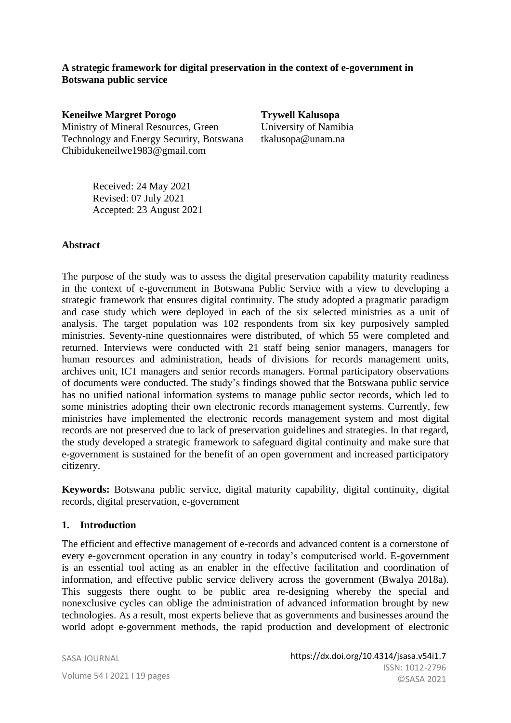### **A strategic framework for digital preservation in the context of e-government in Botswana public service**

**Keneilwe Margret Porogo**  Ministry of Mineral Resources, Green Technology and Energy Security, Botswana [Chibidukeneilwe1983@gmail.com](mailto:Chibidukeneilwe1983@gmail.com)

**Trywell Kalusopa**  University of Namibia [tkalusopa@unam.](mailto:tkalusopa@unam)na

Received: 24 May 2021 Revised: 07 July 2021 Accepted: 23 August 2021

#### **Abstract**

The purpose of the study was to assess the digital preservation capability maturity readiness in the context of e-government in Botswana Public Service with a view to developing a strategic framework that ensures digital continuity. The study adopted a pragmatic paradigm and case study which were deployed in each of the six selected ministries as a unit of analysis. The target population was 102 respondents from six key purposively sampled ministries. Seventy-nine questionnaires were distributed, of which 55 were completed and returned. Interviews were conducted with 21 staff being senior managers, managers for human resources and administration, heads of divisions for records management units, archives unit, ICT managers and senior records managers. Formal participatory observations of documents were conducted. The study's findings showed that the Botswana public service has no unified national information systems to manage public sector records, which led to some ministries adopting their own electronic records management systems. Currently, few ministries have implemented the electronic records management system and most digital records are not preserved due to lack of preservation guidelines and strategies. In that regard, the study developed a strategic framework to safeguard digital continuity and make sure that e-government is sustained for the benefit of an open government and increased participatory citizenry.

**Keywords:** Botswana public service, digital maturity capability, digital continuity, digital records, digital preservation, e-government

#### **1. Introduction**

The efficient and effective management of e-records and advanced content is a cornerstone of every e-government operation in any country in today's computerised world. E-government is an essential tool acting as an enabler in the effective facilitation and coordination of information, and effective public service delivery across the government (Bwalya 2018a). This suggests there ought to be public area re-designing whereby the special and nonexclusive cycles can oblige the administration of advanced information brought by new technologies. As a result, most experts believe that as governments and businesses around the world adopt e-government methods, the rapid production and development of electronic

SASA JOURNAL Volume 54 I 2021 I 19 pages

JOURNAL OF THE SOUTH AFRICAN SOCIETY OF ARCHIVISTS, VOL.54, 2021 | SASA© 83 ISSN: 1012-2796 https://dx.doi.org/10.4314/jsasa.v54i1.7 ©SASA 2021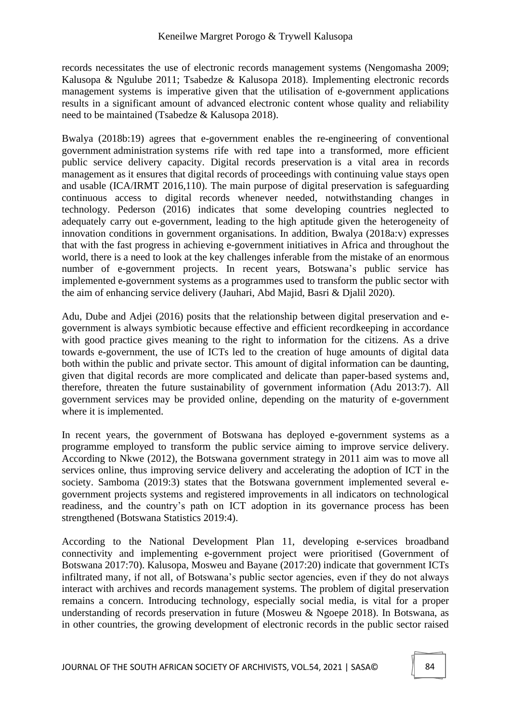records necessitates the use of electronic records management systems (Nengomasha 2009; Kalusopa & Ngulube 2011; Tsabedze & Kalusopa 2018). Implementing electronic records management systems is imperative given that the utilisation of e-government applications results in a significant amount of advanced electronic content whose quality and reliability need to be maintained (Tsabedze & Kalusopa 2018).

Bwalya (2018b:19) agrees that e-government enables the re-engineering of conventional government administration systems rife with red tape into a transformed, more efficient public service delivery capacity. Digital records preservation is a vital area in records management as it ensures that digital records of proceedings with continuing value stays open and usable (ICA/IRMT 2016,110). The main purpose of digital preservation is safeguarding continuous access to digital records whenever needed, notwithstanding changes in technology. Pederson (2016) indicates that some developing countries neglected to adequately carry out e-government, leading to the high aptitude given the heterogeneity of innovation conditions in government organisations. In addition, Bwalya (2018a:v) expresses that with the fast progress in achieving e-government initiatives in Africa and throughout the world, there is a need to look at the key challenges inferable from the mistake of an enormous number of e-government projects. In recent years, Botswana's public service has implemented e-government systems as a programmes used to transform the public sector with the aim of enhancing service delivery (Jauhari, Abd Majid, Basri & Djalil 2020).

Adu, Dube and Adjei (2016) posits that the relationship between digital preservation and egovernment is always symbiotic because effective and efficient recordkeeping in accordance with good practice gives meaning to the right to information for the citizens. As a drive towards e-government, the use of ICTs led to the creation of huge amounts of digital data both within the public and private sector. This amount of digital information can be daunting, given that digital records are more complicated and delicate than paper-based systems and, therefore, threaten the future sustainability of government information (Adu 2013:7). All government services may be provided online, depending on the maturity of e-government where it is implemented.

In recent years, the government of Botswana has deployed e-government systems as a programme employed to transform the public service aiming to improve service delivery. According to Nkwe (2012), the Botswana government strategy in 2011 aim was to move all services online, thus improving service delivery and accelerating the adoption of ICT in the society. Samboma (2019:3) states that the Botswana government implemented several egovernment projects systems and registered improvements in all indicators on technological readiness, and the country's path on ICT adoption in its governance process has been strengthened (Botswana Statistics 2019:4).

According to the National Development Plan 11, developing e-services broadband connectivity and implementing e-government project were prioritised (Government of Botswana 2017:70). Kalusopa, Mosweu and Bayane (2017:20) indicate that government ICTs infiltrated many, if not all, of Botswana's public sector agencies, even if they do not always interact with archives and records management systems. The problem of digital preservation remains a concern. Introducing technology, especially social media, is vital for a proper understanding of records preservation in future (Mosweu & Ngoepe 2018). In Botswana, as in other countries, the growing development of electronic records in the public sector raised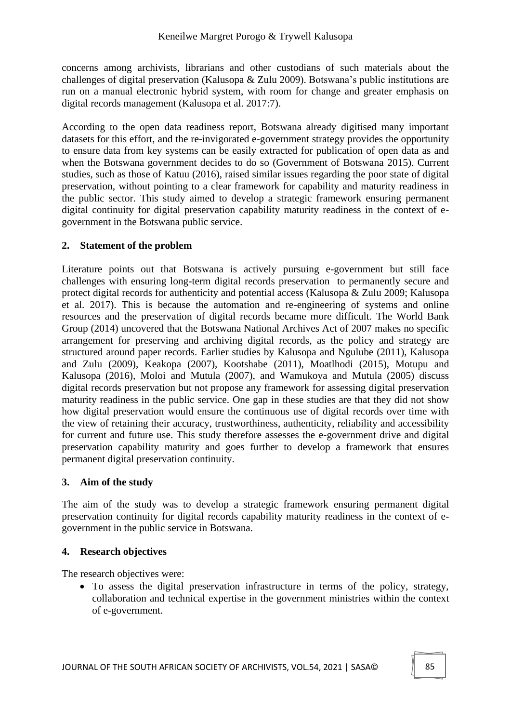concerns among archivists, librarians and other custodians of such materials about the challenges of digital preservation (Kalusopa & Zulu 2009). Botswana's public institutions are run on a manual electronic hybrid system, with room for change and greater emphasis on digital records management (Kalusopa et al. 2017:7).

According to the open data readiness report, Botswana already digitised many important datasets for this effort, and the re-invigorated e-government strategy provides the opportunity to ensure data from key systems can be easily extracted for publication of open data as and when the Botswana government decides to do so (Government of Botswana 2015). Current studies, such as those of Katuu (2016), raised similar issues regarding the poor state of digital preservation, without pointing to a clear framework for capability and maturity readiness in the public sector. This study aimed to develop a strategic framework ensuring permanent digital continuity for digital preservation capability maturity readiness in the context of egovernment in the Botswana public service.

## **2. Statement of the problem**

Literature points out that Botswana is actively pursuing e-government but still face challenges with ensuring long-term digital records preservation to permanently secure and protect digital records for authenticity and potential access (Kalusopa & Zulu 2009; Kalusopa et al. 2017). This is because the automation and re-engineering of systems and online resources and the preservation of digital records became more difficult. The World Bank Group (2014) uncovered that the Botswana National Archives Act of 2007 makes no specific arrangement for preserving and archiving digital records, as the policy and strategy are structured around paper records. Earlier studies by Kalusopa and Ngulube (2011), Kalusopa and Zulu (2009), Keakopa (2007), Kootshabe (2011), Moatlhodi (2015), Motupu and Kalusopa (2016), Moloi and Mutula (2007), and Wamukoya and Mutula (2005) discuss digital records preservation but not propose any framework for assessing digital preservation maturity readiness in the public service. One gap in these studies are that they did not show how digital preservation would ensure the continuous use of digital records over time with the view of retaining their accuracy, trustworthiness, authenticity, reliability and accessibility for current and future use. This study therefore assesses the e-government drive and digital preservation capability maturity and goes further to develop a framework that ensures permanent digital preservation continuity.

## **3. Aim of the study**

The aim of the study was to develop a strategic framework ensuring permanent digital preservation continuity for digital records capability maturity readiness in the context of egovernment in the public service in Botswana.

## **4. Research objectives**

The research objectives were:

• To assess the digital preservation infrastructure in terms of the policy, strategy, collaboration and technical expertise in the government ministries within the context of e-government.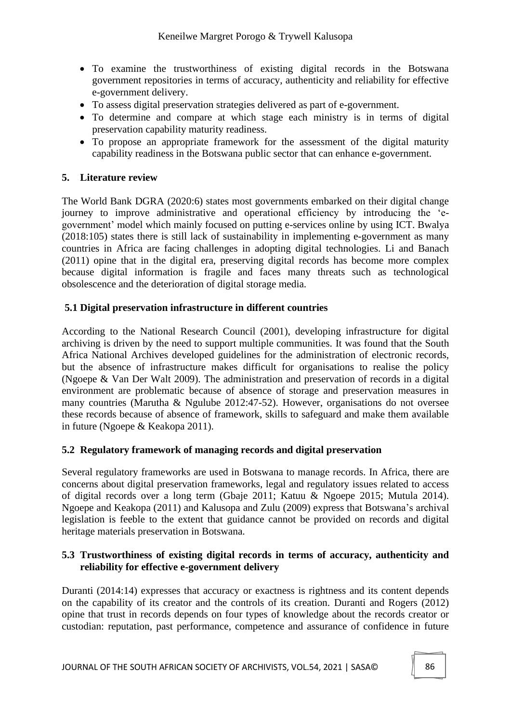- To examine the trustworthiness of existing digital records in the Botswana government repositories in terms of accuracy, authenticity and reliability for effective e-government delivery.
- To assess digital preservation strategies delivered as part of e-government.
- To determine and compare at which stage each ministry is in terms of digital preservation capability maturity readiness.
- To propose an appropriate framework for the assessment of the digital maturity capability readiness in the Botswana public sector that can enhance e-government.

## **5. Literature review**

The World Bank DGRA (2020:6) states most governments embarked on their digital change journey to improve administrative and operational efficiency by introducing the 'egovernment' model which mainly focused on putting e-services online by using ICT. Bwalya (2018:105) states there is still lack of sustainability in implementing e-government as many countries in Africa are facing challenges in adopting digital technologies. Li and Banach (2011) opine that in the digital era, preserving digital records has become more complex because digital information is fragile and faces many threats such as technological obsolescence and the deterioration of digital storage media.

### **5.1 Digital preservation infrastructure in different countries**

According to the National Research Council (2001), developing infrastructure for digital archiving is driven by the need to support multiple communities. It was found that the South Africa National Archives developed guidelines for the administration of electronic records, but the absence of infrastructure makes difficult for organisations to realise the policy (Ngoepe & Van Der Walt 2009). The administration and preservation of records in a digital environment are problematic because of absence of storage and preservation measures in many countries (Marutha & Ngulube 2012:47-52). However, organisations do not oversee these records because of absence of framework, skills to safeguard and make them available in future (Ngoepe & Keakopa 2011).

## **5.2 Regulatory framework of managing records and digital preservation**

Several regulatory frameworks are used in Botswana to manage records. In Africa, there are concerns about digital preservation frameworks, legal and regulatory issues related to access of digital records over a long term (Gbaje 2011; Katuu & Ngoepe 2015; Mutula 2014). Ngoepe and Keakopa (2011) and Kalusopa and Zulu (2009) express that Botswana's archival legislation is feeble to the extent that guidance cannot be provided on records and digital heritage materials preservation in Botswana.

### **5.3 Trustworthiness of existing digital records in terms of accuracy, authenticity and reliability for effective e-government delivery**

Duranti (2014:14) expresses that accuracy or exactness is rightness and its content depends on the capability of its creator and the controls of its creation. Duranti and Rogers (2012) opine that trust in records depends on four types of knowledge about the records creator or custodian: reputation, past performance, competence and assurance of confidence in future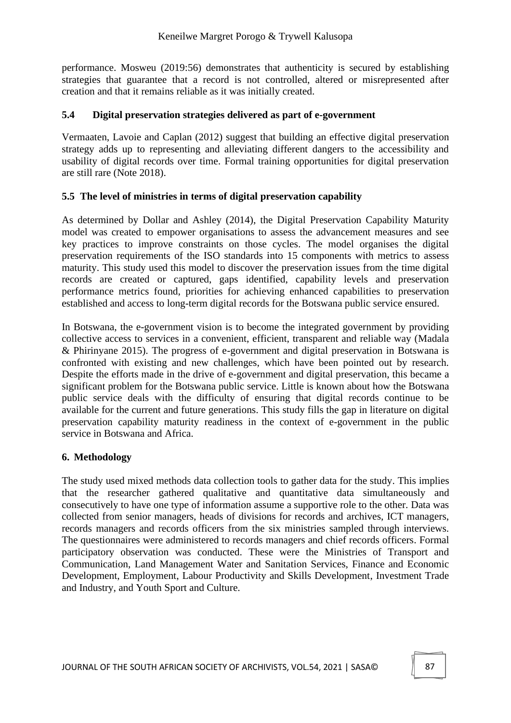performance. Mosweu (2019:56) demonstrates that authenticity is secured by establishing strategies that guarantee that a record is not controlled, altered or misrepresented after creation and that it remains reliable as it was initially created.

### **5.4 Digital preservation strategies delivered as part of e-government**

Vermaaten, Lavoie and Caplan (2012) suggest that building an effective digital preservation strategy adds up to representing and alleviating different dangers to the accessibility and usability of digital records over time. Formal training opportunities for digital preservation are still rare (Note 2018).

### **5.5 The level of ministries in terms of digital preservation capability**

As determined by Dollar and Ashley (2014), the Digital Preservation Capability Maturity model was created to empower organisations to assess the advancement measures and see key practices to improve constraints on those cycles. The model organises the digital preservation requirements of the ISO standards into 15 components with metrics to assess maturity. This study used this model to discover the preservation issues from the time digital records are created or captured, gaps identified, capability levels and preservation performance metrics found, priorities for achieving enhanced capabilities to preservation established and access to long-term digital records for the Botswana public service ensured.

In Botswana, the e-government vision is to become the integrated government by providing collective access to services in a convenient, efficient, transparent and reliable way (Madala & Phirinyane 2015). The progress of e-government and digital preservation in Botswana is confronted with existing and new challenges, which have been pointed out by research. Despite the efforts made in the drive of e-government and digital preservation, this became a significant problem for the Botswana public service. Little is known about how the Botswana public service deals with the difficulty of ensuring that digital records continue to be available for the current and future generations. This study fills the gap in literature on digital preservation capability maturity readiness in the context of e-government in the public service in Botswana and Africa.

## **6. Methodology**

The study used mixed methods data collection tools to gather data for the study. This implies that the researcher gathered qualitative and quantitative data simultaneously and consecutively to have one type of information assume a supportive role to the other. Data was collected from senior managers, heads of divisions for records and archives, ICT managers, records managers and records officers from the six ministries sampled through interviews. The questionnaires were administered to records managers and chief records officers. Formal participatory observation was conducted. These were the Ministries of Transport and Communication, Land Management Water and Sanitation Services, Finance and Economic Development, Employment, Labour Productivity and Skills Development, Investment Trade and Industry, and Youth Sport and Culture.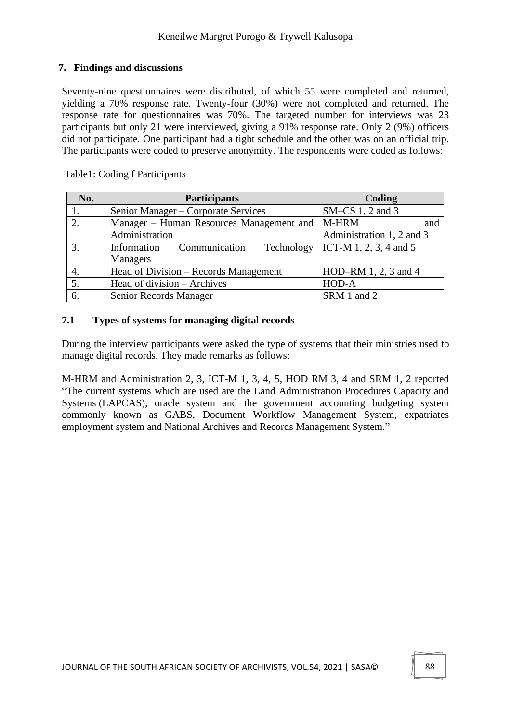### **7. Findings and discussions**

Seventy-nine questionnaires were distributed, of which 55 were completed and returned, yielding a 70% response rate. Twenty-four (30%) were not completed and returned. The response rate for questionnaires was 70%. The targeted number for interviews was 23 participants but only 21 were interviewed, giving a 91% response rate. Only 2 (9%) officers did not participate. One participant had a tight schedule and the other was on an official trip. The participants were coded to preserve anonymity. The respondents were coded as follows:

Table1: Coding f Participants

| No. | <b>Participants</b>                              | Coding                              |
|-----|--------------------------------------------------|-------------------------------------|
|     | Senior Manager – Corporate Services              | $SM-CS$ 1, 2 and 3                  |
| 2.  | Manager – Human Resources Management and   M-HRM | and                                 |
|     | Administration                                   | Administration 1, 2 and 3           |
|     | Communication<br>Information                     | Technology   ICT-M 1, 2, 3, 4 and 5 |
|     | <b>Managers</b>                                  |                                     |
|     | Head of Division – Records Management            | HOD-RM 1, 2, 3 and 4                |
|     | Head of division – Archives                      | HOD-A                               |
| 6.  | Senior Records Manager                           | SRM 1 and 2                         |

### **7.1 Types of systems for managing digital records**

During the interview participants were asked the type of systems that their ministries used to manage digital records. They made remarks as follows:

M-HRM and Administration 2, 3, ICT-M 1, 3, 4, 5, HOD RM 3, 4 and SRM 1, 2 reported "The current systems which are used are the Land Administration Procedures Capacity and Systems (LAPCAS), oracle system and the government accounting budgeting system commonly known as GABS, Document Workflow Management System, expatriates employment system and National Archives and Records Management System."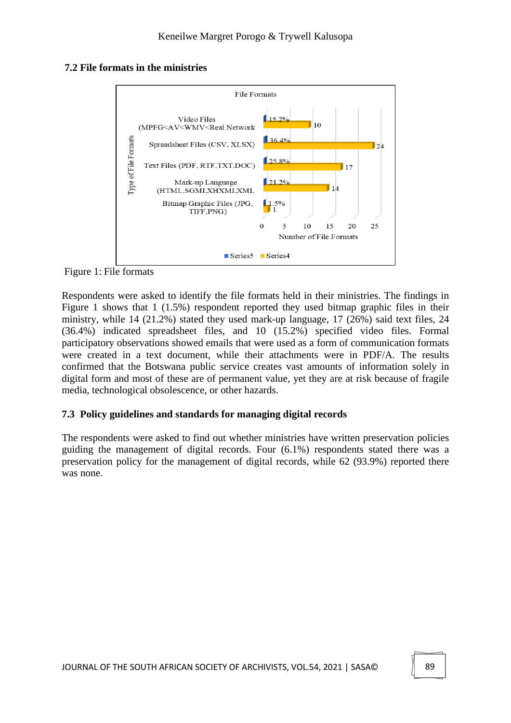#### **7.2 File formats in the ministries**



Figure 1: File formats

Respondents were asked to identify the file formats held in their ministries. The findings in Figure 1 shows that 1 (1.5%) respondent reported they used bitmap graphic files in their ministry, while 14 (21.2%) stated they used mark-up language, 17 (26%) said text files, 24 (36.4%) indicated spreadsheet files, and 10 (15.2%) specified video files. Formal participatory observations showed emails that were used as a form of communication formats were created in a text document, while their attachments were in PDF/A. The results confirmed that the Botswana public service creates vast amounts of information solely in digital form and most of these are of permanent value, yet they are at risk because of fragile media, technological obsolescence, or other hazards.

#### **7.3 Policy guidelines and standards for managing digital records**

The respondents were asked to find out whether ministries have written preservation policies guiding the management of digital records. Four (6.1%) respondents stated there was a preservation policy for the management of digital records, while 62 (93.9%) reported there was none.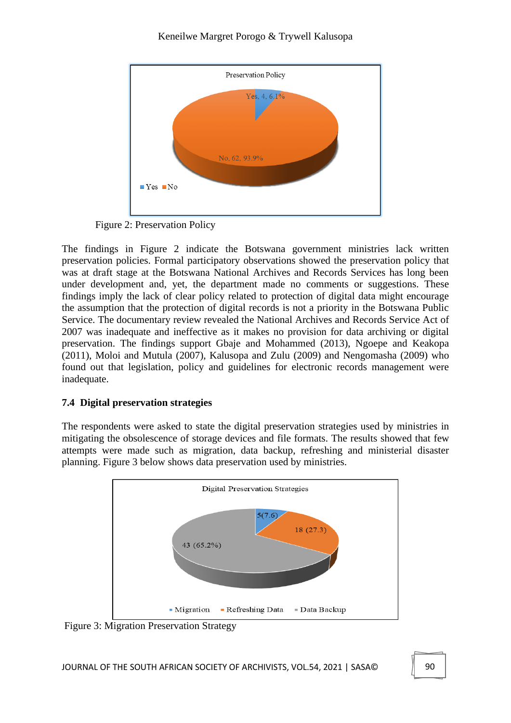

Figure 2: Preservation Policy

The findings in Figure 2 indicate the Botswana government ministries lack written preservation policies. Formal participatory observations showed the preservation policy that was at draft stage at the Botswana National Archives and Records Services has long been under development and, yet, the department made no comments or suggestions. These findings imply the lack of clear policy related to protection of digital data might encourage the assumption that the protection of digital records is not a priority in the Botswana Public Service. The documentary review revealed the National Archives and Records Service Act of 2007 was inadequate and ineffective as it makes no provision for data archiving or digital preservation. The findings support Gbaje and Mohammed (2013), Ngoepe and Keakopa (2011), Moloi and Mutula (2007), Kalusopa and Zulu (2009) and Nengomasha (2009) who found out that legislation, policy and guidelines for electronic records management were inadequate.

# **7.4 Digital preservation strategies**

The respondents were asked to state the digital preservation strategies used by ministries in mitigating the obsolescence of storage devices and file formats. The results showed that few attempts were made such as migration, data backup, refreshing and ministerial disaster planning. Figure 3 below shows data preservation used by ministries.



Figure 3: Migration Preservation Strategy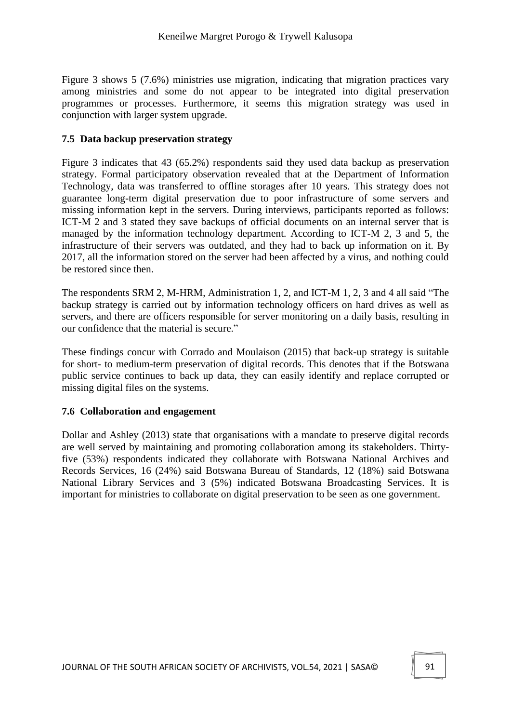Figure 3 shows 5 (7.6%) ministries use migration, indicating that migration practices vary among ministries and some do not appear to be integrated into digital preservation programmes or processes. Furthermore, it seems this migration strategy was used in conjunction with larger system upgrade.

### **7.5 Data backup preservation strategy**

Figure 3 indicates that 43 (65.2%) respondents said they used data backup as preservation strategy. Formal participatory observation revealed that at the Department of Information Technology, data was transferred to offline storages after 10 years. This strategy does not guarantee long-term digital preservation due to poor infrastructure of some servers and missing information kept in the servers. During interviews, participants reported as follows: ICT-M 2 and 3 stated they save backups of official documents on an internal server that is managed by the information technology department. According to ICT-M 2, 3 and 5, the infrastructure of their servers was outdated, and they had to back up information on it. By 2017, all the information stored on the server had been affected by a virus, and nothing could be restored since then.

The respondents SRM 2, M-HRM, Administration 1, 2, and ICT-M 1, 2, 3 and 4 all said "The backup strategy is carried out by information technology officers on hard drives as well as servers, and there are officers responsible for server monitoring on a daily basis, resulting in our confidence that the material is secure."

These findings concur with Corrado and Moulaison (2015) that back-up strategy is suitable for short- to medium-term preservation of digital records. This denotes that if the Botswana public service continues to back up data, they can easily identify and replace corrupted or missing digital files on the systems.

#### **7.6 Collaboration and engagement**

Dollar and Ashley (2013) state that organisations with a mandate to preserve digital records are well served by maintaining and promoting collaboration among its stakeholders. Thirtyfive (53%) respondents indicated they collaborate with Botswana National Archives and Records Services, 16 (24%) said Botswana Bureau of Standards, 12 (18%) said Botswana National Library Services and 3 (5%) indicated Botswana Broadcasting Services. It is important for ministries to collaborate on digital preservation to be seen as one government.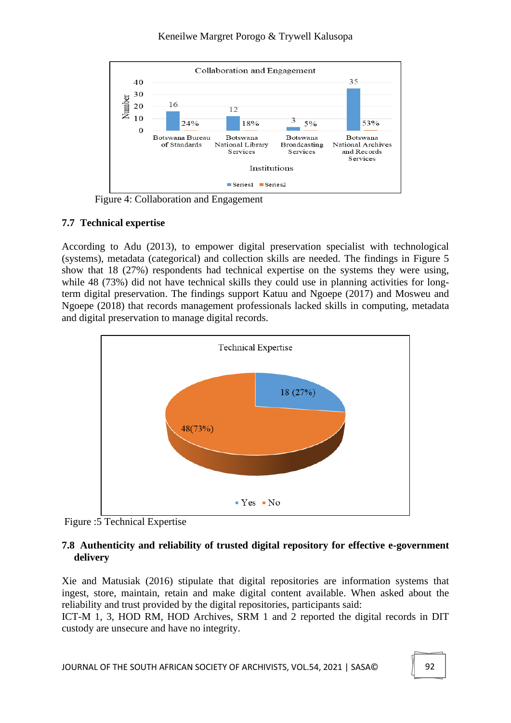### Keneilwe Margret Porogo & Trywell Kalusopa



Figure 4: Collaboration and Engagement

## **7.7 Technical expertise**

According to Adu (2013), to empower digital preservation specialist with technological (systems), metadata (categorical) and collection skills are needed. The findings in Figure 5 show that 18 (27%) respondents had technical expertise on the systems they were using, while 48 (73%) did not have technical skills they could use in planning activities for longterm digital preservation. The findings support Katuu and Ngoepe (2017) and Mosweu and Ngoepe (2018) that records management professionals lacked skills in computing, metadata and digital preservation to manage digital records.



Figure :5 Technical Expertise

## **7.8 Authenticity and reliability of trusted digital repository for effective e-government delivery**

Xie and Matusiak (2016) stipulate that digital repositories are information systems that ingest, store, maintain, retain and make digital content available. When asked about the reliability and trust provided by the digital repositories, participants said:

ICT-M 1, 3, HOD RM, HOD Archives, SRM 1 and 2 reported the digital records in DIT custody are unsecure and have no integrity.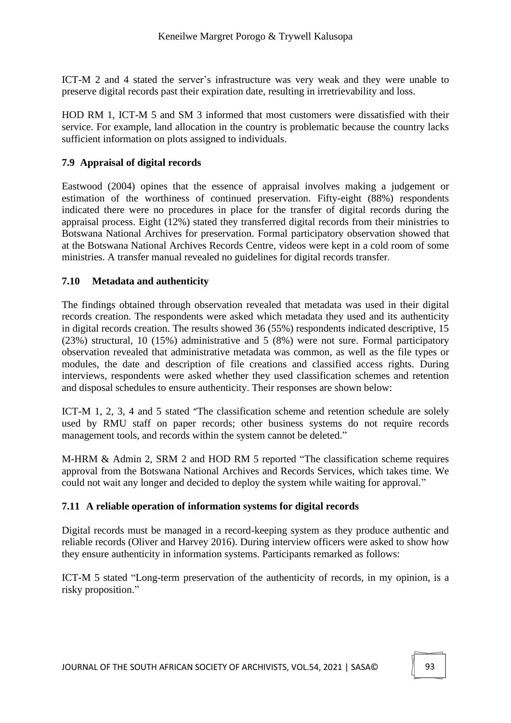ICT-M 2 and 4 stated the server's infrastructure was very weak and they were unable to preserve digital records past their expiration date, resulting in irretrievability and loss.

HOD RM 1, ICT-M 5 and SM 3 informed that most customers were dissatisfied with their service. For example, land allocation in the country is problematic because the country lacks sufficient information on plots assigned to individuals.

# **7.9 Appraisal of digital records**

Eastwood (2004) opines that the essence of appraisal involves making a judgement or estimation of the worthiness of continued preservation. Fifty-eight (88%) respondents indicated there were no procedures in place for the transfer of digital records during the appraisal process. Eight (12%) stated they transferred digital records from their ministries to Botswana National Archives for preservation. Formal participatory observation showed that at the Botswana National Archives Records Centre, videos were kept in a cold room of some ministries. A transfer manual revealed no guidelines for digital records transfer.

# **7.10 Metadata and authenticity**

The findings obtained through observation revealed that metadata was used in their digital records creation. The respondents were asked which metadata they used and its authenticity in digital records creation. The results showed 36 (55%) respondents indicated descriptive, 15 (23%) structural, 10 (15%) administrative and 5 (8%) were not sure. Formal participatory observation revealed that administrative metadata was common, as well as the file types or modules, the date and description of file creations and classified access rights. During interviews, respondents were asked whether they used classification schemes and retention and disposal schedules to ensure authenticity. Their responses are shown below:

ICT-M 1, 2, 3, 4 and 5 stated "The classification scheme and retention schedule are solely used by RMU staff on paper records; other business systems do not require records management tools, and records within the system cannot be deleted."

M-HRM & Admin 2, SRM 2 and HOD RM 5 reported "The classification scheme requires approval from the Botswana National Archives and Records Services, which takes time. We could not wait any longer and decided to deploy the system while waiting for approval."

## **7.11 A reliable operation of information systems for digital records**

Digital records must be managed in a record-keeping system as they produce authentic and reliable records (Oliver and Harvey 2016). During interview officers were asked to show how they ensure authenticity in information systems. Participants remarked as follows:

ICT-M 5 stated "Long-term preservation of the authenticity of records, in my opinion, is a risky proposition."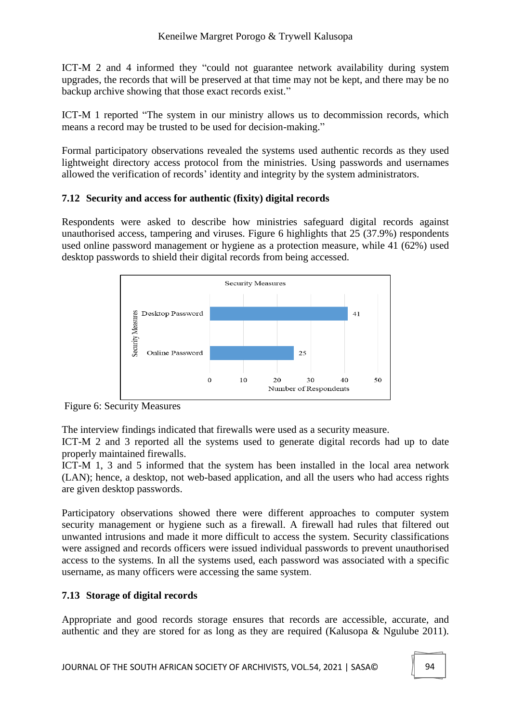ICT-M 2 and 4 informed they "could not guarantee network availability during system upgrades, the records that will be preserved at that time may not be kept, and there may be no backup archive showing that those exact records exist."

ICT-M 1 reported "The system in our ministry allows us to decommission records, which means a record may be trusted to be used for decision-making."

Formal participatory observations revealed the systems used authentic records as they used lightweight directory access protocol from the ministries. Using passwords and usernames allowed the verification of records' identity and integrity by the system administrators.

# **7.12 Security and access for authentic (fixity) digital records**

Respondents were asked to describe how ministries safeguard digital records against unauthorised access, tampering and viruses. Figure 6 highlights that 25 (37.9%) respondents used online password management or hygiene as a protection measure, while 41 (62%) used desktop passwords to shield their digital records from being accessed.



Figure 6: Security Measures

The interview findings indicated that firewalls were used as a security measure.

ICT-M 2 and 3 reported all the systems used to generate digital records had up to date properly maintained firewalls.

ICT-M 1, 3 and 5 informed that the system has been installed in the local area network (LAN); hence, a desktop, not web-based application, and all the users who had access rights are given desktop passwords.

Participatory observations showed there were different approaches to computer system security management or hygiene such as a firewall. A firewall had rules that filtered out unwanted intrusions and made it more difficult to access the system. Security classifications were assigned and records officers were issued individual passwords to prevent unauthorised access to the systems. In all the systems used, each password was associated with a specific username, as many officers were accessing the same system.

## **7.13 Storage of digital records**

Appropriate and good records storage ensures that records are accessible, accurate, and authentic and they are stored for as long as they are required (Kalusopa & Ngulube 2011).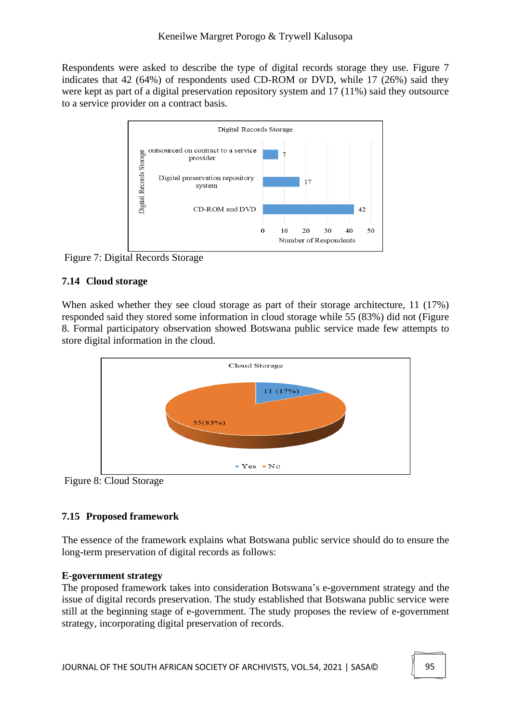Respondents were asked to describe the type of digital records storage they use. Figure 7 indicates that 42 (64%) of respondents used CD-ROM or DVD, while 17 (26%) said they were kept as part of a digital preservation repository system and 17 (11%) said they outsource to a service provider on a contract basis.



Figure 7: Digital Records Storage

# **7.14 Cloud storage**

When asked whether they see cloud storage as part of their storage architecture, 11 (17%) responded said they stored some information in cloud storage while 55 (83%) did not (Figure 8. Formal participatory observation showed Botswana public service made few attempts to store digital information in the cloud.



Figure 8: Cloud Storage

# **7.15 Proposed framework**

The essence of the framework explains what Botswana public service should do to ensure the long-term preservation of digital records as follows:

## **E-government strategy**

The proposed framework takes into consideration Botswana's e-government strategy and the issue of digital records preservation. The study established that Botswana public service were still at the beginning stage of e-government. The study proposes the review of e-government strategy, incorporating digital preservation of records.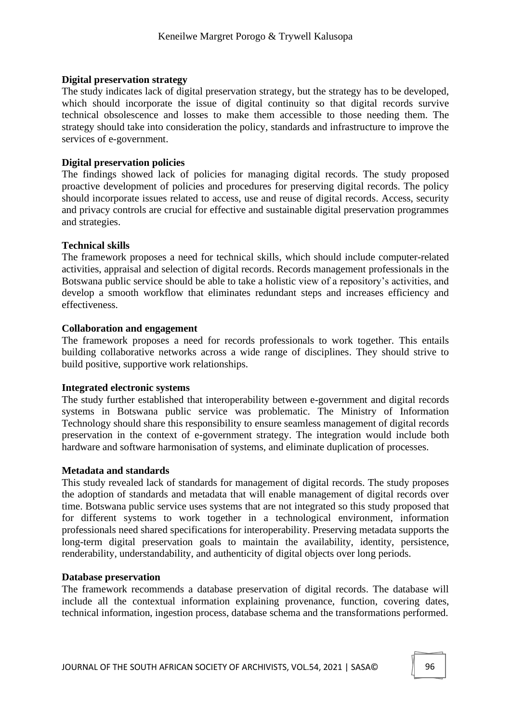#### **Digital preservation strategy**

The study indicates lack of digital preservation strategy, but the strategy has to be developed, which should incorporate the issue of digital continuity so that digital records survive technical obsolescence and losses to make them accessible to those needing them. The strategy should take into consideration the policy, standards and infrastructure to improve the services of e-government.

### **Digital preservation policies**

The findings showed lack of policies for managing digital records. The study proposed proactive development of policies and procedures for preserving digital records. The policy should incorporate issues related to access, use and reuse of digital records. Access, security and privacy controls are crucial for effective and sustainable digital preservation programmes and strategies.

### **Technical skills**

The framework proposes a need for technical skills, which should include computer-related activities, appraisal and selection of digital records. Records management professionals in the Botswana public service should be able to take a holistic view of a repository's activities, and develop a smooth workflow that eliminates redundant steps and increases efficiency and effectiveness.

### **Collaboration and engagement**

The framework proposes a need for records professionals to work together. This entails building collaborative networks across a wide range of disciplines. They should strive to build positive, supportive work relationships.

#### **Integrated electronic systems**

The study further established that interoperability between e-government and digital records systems in Botswana public service was problematic. The Ministry of Information Technology should share this responsibility to ensure seamless management of digital records preservation in the context of e-government strategy. The integration would include both hardware and software harmonisation of systems, and eliminate duplication of processes.

#### **Metadata and standards**

This study revealed lack of standards for management of digital records. The study proposes the adoption of standards and metadata that will enable management of digital records over time. Botswana public service uses systems that are not integrated so this study proposed that for different systems to work together in a technological environment, information professionals need shared specifications for interoperability. Preserving metadata supports the long-term digital preservation goals to maintain the availability, identity, persistence, renderability, understandability, and authenticity of digital objects over long periods.

#### **Database preservation**

The framework recommends a database preservation of digital records. The database will include all the contextual information explaining provenance, function, covering dates, technical information, ingestion process, database schema and the transformations performed.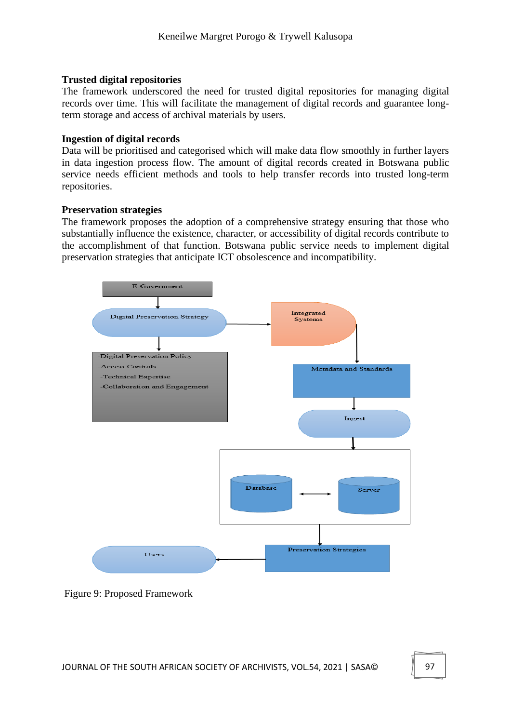### **Trusted digital repositories**

The framework underscored the need for trusted digital repositories for managing digital records over time. This will facilitate the management of digital records and guarantee longterm storage and access of archival materials by users.

### **Ingestion of digital records**

Data will be prioritised and categorised which will make data flow smoothly in further layers in data ingestion process flow. The amount of digital records created in Botswana public service needs efficient methods and tools to help transfer records into trusted long-term repositories.

### **Preservation strategies**

The framework proposes the adoption of a comprehensive strategy ensuring that those who substantially influence the existence, character, or accessibility of digital records contribute to the accomplishment of that function. Botswana public service needs to implement digital preservation strategies that anticipate ICT obsolescence and incompatibility.



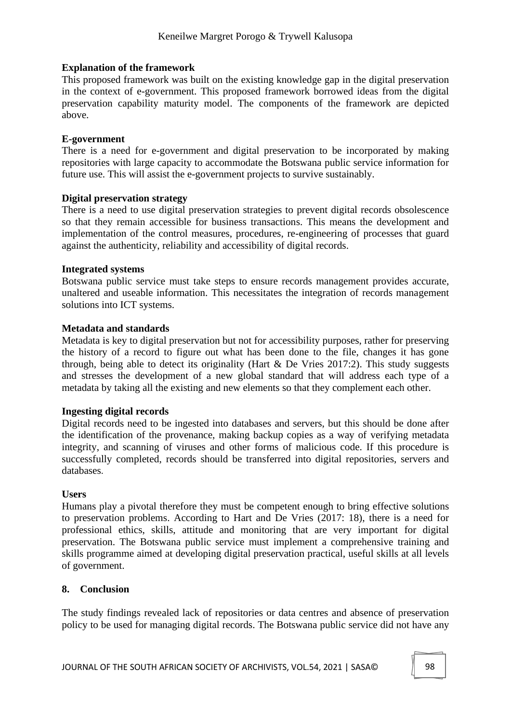### **Explanation of the framework**

This proposed framework was built on the existing knowledge gap in the digital preservation in the context of e-government. This proposed framework borrowed ideas from the digital preservation capability maturity model. The components of the framework are depicted above.

### **E-government**

There is a need for e-government and digital preservation to be incorporated by making repositories with large capacity to accommodate the Botswana public service information for future use. This will assist the e-government projects to survive sustainably.

### **Digital preservation strategy**

There is a need to use digital preservation strategies to prevent digital records obsolescence so that they remain accessible for business transactions. This means the development and implementation of the control measures, procedures, re-engineering of processes that guard against the authenticity, reliability and accessibility of digital records.

### **Integrated systems**

Botswana public service must take steps to ensure records management provides accurate, unaltered and useable information. This necessitates the integration of records management solutions into ICT systems.

### **Metadata and standards**

Metadata is key to digital preservation but not for accessibility purposes, rather for preserving the history of a record to figure out what has been done to the file, changes it has gone through, being able to detect its originality (Hart & De Vries 2017:2). This study suggests and stresses the development of a new global standard that will address each type of a metadata by taking all the existing and new elements so that they complement each other.

## **Ingesting digital records**

Digital records need to be ingested into databases and servers, but this should be done after the identification of the provenance, making backup copies as a way of verifying metadata integrity, and scanning of viruses and other forms of malicious code. If this procedure is successfully completed, records should be transferred into digital repositories, servers and databases.

#### **Users**

Humans play a pivotal therefore they must be competent enough to bring effective solutions to preservation problems. According to Hart and De Vries (2017: 18), there is a need for professional ethics, skills, attitude and monitoring that are very important for digital preservation. The Botswana public service must implement a comprehensive training and skills programme aimed at developing digital preservation practical, useful skills at all levels of government.

### **8. Conclusion**

The study findings revealed lack of repositories or data centres and absence of preservation policy to be used for managing digital records. The Botswana public service did not have any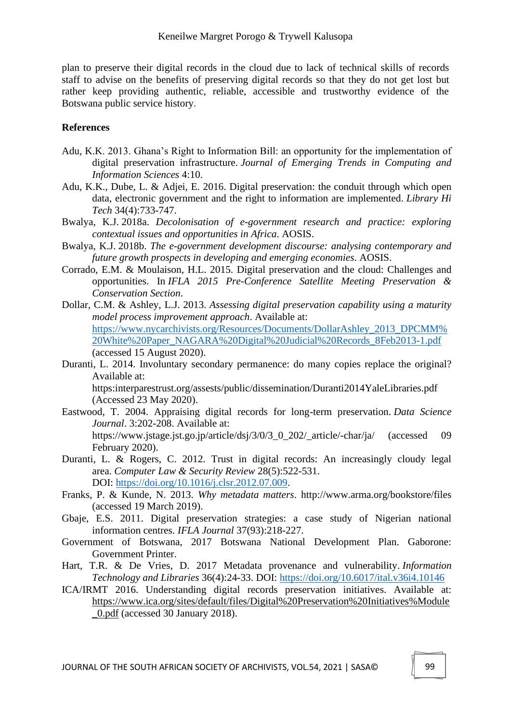plan to preserve their digital records in the cloud due to lack of technical skills of records staff to advise on the benefits of preserving digital records so that they do not get lost but rather keep providing authentic, reliable, accessible and trustworthy evidence of the Botswana public service history.

### **References**

- Adu, K.K. 2013. Ghana's Right to Information Bill: an opportunity for the implementation of digital preservation infrastructure. *Journal of Emerging Trends in Computing and Information Sciences* 4:10.
- Adu, K.K., Dube, L. & Adjei, E. 2016. Digital preservation: the conduit through which open data, electronic government and the right to information are implemented. *Library Hi Tech* 34(4):733-747.
- Bwalya, K.J. 2018a. *Decolonisation of e-government research and practice: exploring contextual issues and opportunities in Africa*. AOSIS.
- Bwalya, K.J. 2018b. *The e-government development discourse: analysing contemporary and future growth prospects in developing and emerging economies*. AOSIS.
- Corrado, E.M. & Moulaison, H.L. 2015. Digital preservation and the cloud: Challenges and opportunities. In *IFLA 2015 Pre-Conference Satellite Meeting Preservation & Conservation Section*.
- Dollar, C.M. & Ashley, L.J. 2013. *Assessing digital preservation capability using a maturity model process improvement approach*. Available at: [https://www.nycarchivists.org/Resources/Documents/DollarAshley\\_2013\\_DPCMM%](https://www.nycarchivists.org/Resources/Documents/DollarAshley_2013_DPCMM%20White%20Paper_NAGARA%20Digital%20Judicial%20Records_8Feb2013-1.pdf) [20White%20Paper\\_NAGARA%20Digital%20Judicial%20Records\\_8Feb2013-1.pdf](https://www.nycarchivists.org/Resources/Documents/DollarAshley_2013_DPCMM%20White%20Paper_NAGARA%20Digital%20Judicial%20Records_8Feb2013-1.pdf) (accessed 15 August 2020).
- Duranti, L. 2014. Involuntary secondary permanence: do many copies replace the original? Available at:

https:interparestrust.org/assests/public/dissemination/Duranti2014YaleLibraries.pdf (Accessed 23 May 2020).

- Eastwood, T. 2004. Appraising digital records for long-term preservation. *Data Science Journal*. 3:202-208. Available at: https://www.jstage.jst.go.jp/article/dsj/3/0/3\_0\_202/\_article/-char/ja/ (accessed 09 February 2020).
- Duranti, L. & Rogers, C. 2012. Trust in digital records: An increasingly cloudy legal area. *Computer Law & Security Review* 28(5):522-531. DOI: [https://doi.org/10.1016/j.clsr.2012.07.009.](https://doi.org/10.1016/j.clsr.2012.07.009)
- Franks, P. & Kunde, N. 2013. *Why metadata matters*. http://www.arma.org/bookstore/files (accessed 19 March 2019).
- Gbaje, E.S. 2011. Digital preservation strategies: a case study of Nigerian national information centres. *IFLA Journal* 37(93):218-227.
- Government of Botswana, 2017 Botswana National Development Plan. Gaborone: Government Printer.
- Hart, T.R. & De Vries, D. 2017 Metadata provenance and vulnerability. *Information Technology and Libraries* 36(4):24-33. DOI:<https://doi.org/10.6017/ital.v36i4.10146>
- ICA/IRMT 2016. Understanding digital records preservation initiatives. Available at: [https://www.ica.org/sites/default/files/Digital%20Preservation%20Initiatives%Module](https://www.ica.org/sites/default/files/Digital%20Preservation%20Initiatives%25Module_0.pdf) [\\_0.pdf](https://www.ica.org/sites/default/files/Digital%20Preservation%20Initiatives%25Module_0.pdf) (accessed 30 January 2018).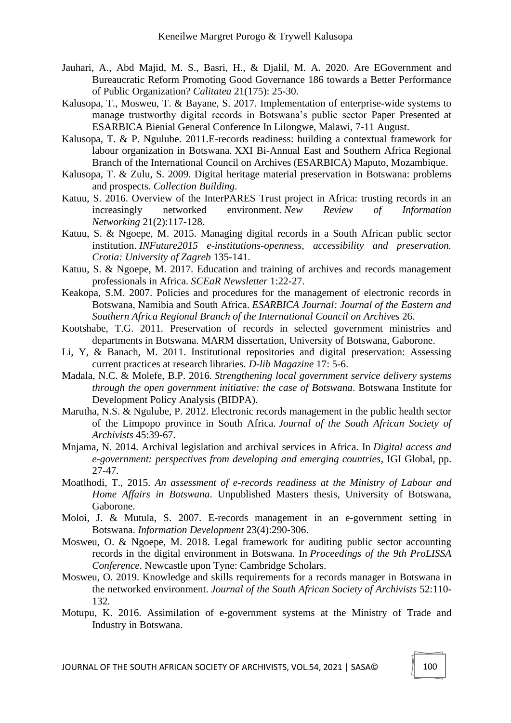- Jauhari, A., Abd Majid, M. S., Basri, H., & Djalil, M. A. 2020. Are EGovernment and Bureaucratic Reform Promoting Good Governance 186 towards a Better Performance of Public Organization? *Calitatea* 21(175): 25-30.
- Kalusopa, T., Mosweu, T. & Bayane, S. 2017. Implementation of enterprise-wide systems to manage trustworthy digital records in Botswana's public sector Paper Presented at ESARBICA Bienial General Conference In Lilongwe, Malawi, 7-11 August.
- Kalusopa, T. & P. Ngulube. 2011.E-records readiness: building a contextual framework for labour organization in Botswana. XXI Bi-Annual East and Southern Africa Regional Branch of the International Council on Archives (ESARBICA) Maputo, Mozambique.
- Kalusopa, T. & Zulu, S. 2009. Digital heritage material preservation in Botswana: problems and prospects. *Collection Building*.
- Katuu, S. 2016. Overview of the InterPARES Trust project in Africa: trusting records in an increasingly networked environment. *New Review of Information Networking* 21(2):117-128.
- Katuu, S. & Ngoepe, M. 2015. Managing digital records in a South African public sector institution. *INFuture2015 e-institutions-openness, accessibility and preservation. Crotia: University of Zagreb* 135-141.
- Katuu, S. & Ngoepe, M. 2017. Education and training of archives and records management professionals in Africa. *SCEaR Newsletter* 1:22-27.
- Keakopa, S.M. 2007. Policies and procedures for the management of electronic records in Botswana, Namibia and South Africa. *ESARBICA Journal: Journal of the Eastern and Southern Africa Regional Branch of the International Council on Archives* 26.
- Kootshabe, T.G. 2011. Preservation of records in selected government ministries and departments in Botswana. MARM dissertation, University of Botswana, Gaborone.
- Li, Y, & Banach, M. 2011. Institutional repositories and digital preservation: Assessing current practices at research libraries. *D-lib Magazine* 17: 5-6.
- Madala, N.C. & Molefe, B.P. 2016. *Strengthening local government service delivery systems through the open government initiative: the case of Botswana*. Botswana Institute for Development Policy Analysis (BIDPA).
- Marutha, N.S. & Ngulube, P. 2012. Electronic records management in the public health sector of the Limpopo province in South Africa. *Journal of the South African Society of Archivists* 45:39-67.
- Mnjama, N. 2014. Archival legislation and archival services in Africa. In *Digital access and e-government: perspectives from developing and emerging countries*, IGI Global, pp. 27-47.
- Moatlhodi, T., 2015. *An assessment of e-records readiness at the Ministry of Labour and Home Affairs in Botswana*. Unpublished Masters thesis, University of Botswana, Gaborone.
- Moloi, J. & Mutula, S. 2007. E-records management in an e-government setting in Botswana. *Information Development* 23(4):290-306.
- Mosweu, O. & Ngoepe, M. 2018. Legal framework for auditing public sector accounting records in the digital environment in Botswana. In *Proceedings of the 9th ProLISSA Conference*. Newcastle upon Tyne: Cambridge Scholars.
- Mosweu, O. 2019. Knowledge and skills requirements for a records manager in Botswana in the networked environment. *Journal of the South African Society of Archivists* 52:110- 132.
- Motupu, K. 2016. Assimilation of e-government systems at the Ministry of Trade and Industry in Botswana.

JOURNAL OF THE SOUTH AFRICAN SOCIETY OF ARCHIVISTS, VOL.54, 2021 | SASA© 100